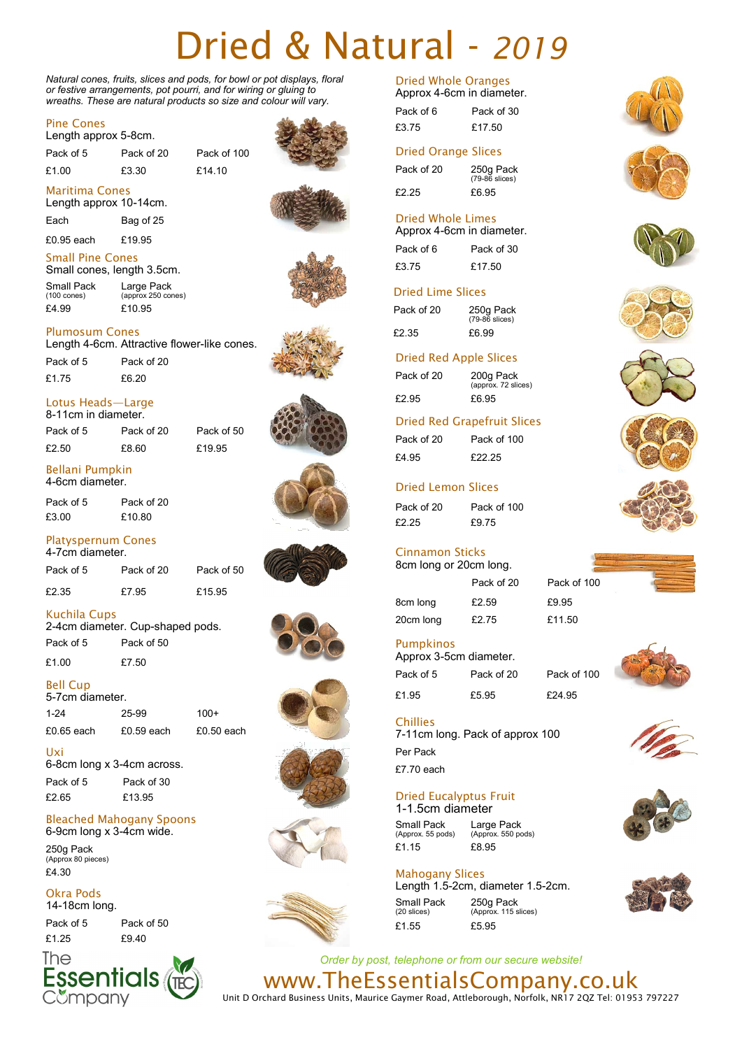# Dried & Natural - *2019*

*Natural cones, fruits, slices and pods, for bowl or pot displays, floral or festive arrangements, pot pourri, and for wiring or gluing to wreaths. These are natural products so size and colour will vary.* 

#### Pine Cones

Length approx 5-8cm.

Maritima Cones Length approx 10-14cm. Each Bag of 25 £0.95 each £19.95

Pack of 5 Pack of 20 Pack of 100

£1.00 £3.30 £14.10

Length 4-6cm. Attractive flower-like cones.

Large Pack (approx 250 cones)











Pack of 5 Pack of 20 £1.75 £6.20

Plumosum Cones

£4.99 £10.95

Small Pine Cones Small cones, length 3.5cm.

Small Pack (100 cones)

8-11cm in diameter. Pack of 5 Pack of 20 Pack of 50 £2.50 £8.60 £19.95

#### Bellani Pumpkin 4-6cm diameter.

Pack of 5 Pack of 20 £3.00 £10.80

#### Platyspernum Cones 4-7cm diameter.

Pack of 5 Pack of 20 Pack of 50

£2.35 £7.95 £15.95

# Kuchila Cups

2-4cm diameter. Cup-shaped pods. Pack of 5 Pack of 50

£1.00 £7.50

# Bell Cup

| 5-7cm diameter. |              |              |  |  |
|-----------------|--------------|--------------|--|--|
| $1 - 24$        | 25-99        | $100+$       |  |  |
| £0.65 each      | $£0.59$ each | $£0.50$ each |  |  |

Uxi 6-8cm long x 3-4cm across.

Pack of 5 Pack of 30 £2.65 £13.95

#### Bleached Mahogany Spoons 6-9cm long x 3-4cm wide.

250g Pack (Approx 80 pieces) £4.30

#### Okra Pods 14-18cm long.

Pack of 5 Pack of 50 £1.25 £9.40



# Dried Whole Oranges

| Approx 4-6cm in diameter. |            |
|---------------------------|------------|
| Pack of 6                 | Pack of 30 |
| £3.75                     | £17.50     |

# Dried Orange Slices

Pack of 20 250g Pack (79-86 slices) £2.25 £6.95

#### Dried Whole Limes Approx 4-6cm in diameter.

| πρρινλ πτυνιπ τη νιαιτισισι |            |  |
|-----------------------------|------------|--|
| Pack of 6                   | Pack of 30 |  |
| £3.75                       | £17.50     |  |

# Dried Lime Slices

Pack of 20 250g Pack (79-86 slices) £2.35 £6.99

# Dried Red Apple Slices

Pack of 20 200g Pack (approx. 72 slices) £2.95 £6.95

# Dried Red Grapefruit Slices

Pack of 20 Pack of 100 £4.95 £22.25

# Dried Lemon Slices

Pack of 20 Pack of 100 £2.25 £9.75

#### Cinnamon Sticks 8cm long or 20cm long.

Pack of 20 Pack of 100 8cm long £2.59 £9.95 20cm long £2.75 £11.50

Pumpkinos

Approx 3-5cm diameter. Pack of 5 Pack of 20 Pack of 100 £1.95 £5.95 £24.95

Per Pack £7.70 each Chillies 7-11cm long. Pack of approx 100

# Dried Eucalyptus Fruit

1-1.5cm diameter Small Pack (Approx. 55 pods) Large Pack (Approx. 550 pods) £1.15 £8.95

# Mahogany Slices

Length 1.5-2cm, diameter 1.5-2cm. Small Pack (20 slices) 250g Pack (Approx. 115 slices) £1.55 £5.95























*Order by post, telephone or from our secure website!* www.TheEssentialsCompany.co.uk

Unit D Orchard Business Units, Maurice Gaymer Road, Attleborough, Norfolk, NR17 2QZ Tel: 01953 797227